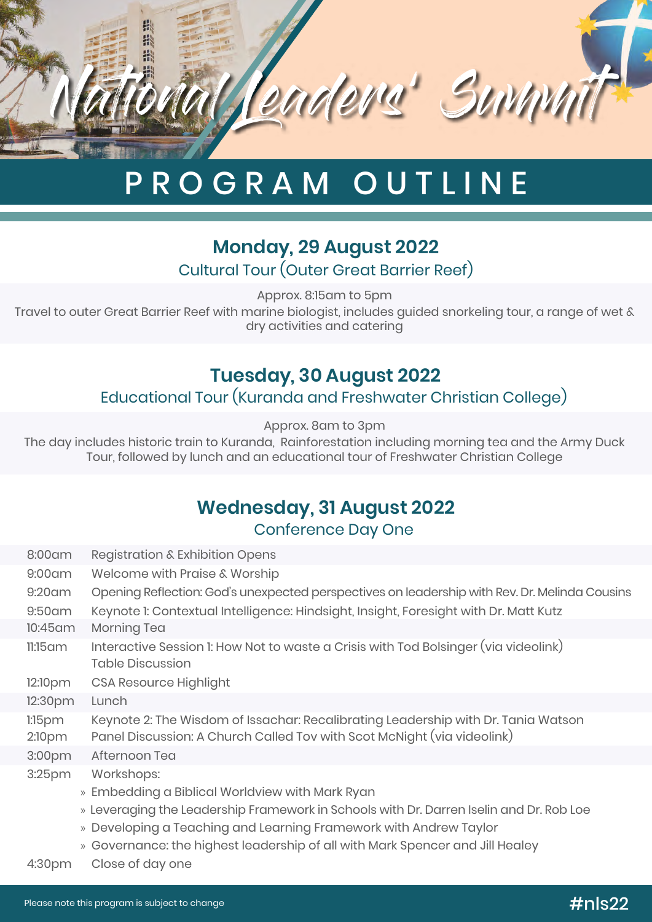

# PROGRAM OUTLINE

### Cultural Tour (Outer Great Barrier Reef) **Monday, 29 August 2022**

Approx. 8:15am to 5pm

Travel to outer Great Barrier Reef with marine biologist, includes guided snorkeling tour, a range of wet & dry activities and catering

# **Tuesday, 30 August 2022**

#### Educational Tour (Kuranda and Freshwater Christian College)

Approx. 8am to 3pm

The day includes historic train to Kuranda, Rainforestation including morning tea and the Army Duck Tour, followed by lunch and an educational tour of Freshwater Christian College

# **Wednesday, 31 August 2022**

Conference Day One

| 8:00 am             | Registration & Exhibition Opens                                                                                                                              |
|---------------------|--------------------------------------------------------------------------------------------------------------------------------------------------------------|
| $9:00$ am           | Welcome with Praise & Worship                                                                                                                                |
| $9:20$ am           | Opening Reflection: God's unexpected perspectives on leadership with Rev. Dr. Melinda Cousins                                                                |
| $9:50$ am           | Keynote I: Contextual Intelligence: Hindsight, Insight, Foresight with Dr. Matt Kutz                                                                         |
| 10:45 am            | Morning Tea                                                                                                                                                  |
| $11:15$ am          | Interactive Session 1: How Not to waste a Crisis with Tod Bolsinger (via videolink)<br><b>Table Discussion</b>                                               |
| 12:10pm             | <b>CSA Resource Highlight</b>                                                                                                                                |
| 12:30pm             | Lunch                                                                                                                                                        |
| $1:15$ pm<br>2:10pm | Keynote 2: The Wisdom of Issachar: Recalibrating Leadership with Dr. Tania Watson<br>Panel Discussion: A Church Called Tov with Scot McNight (via videolink) |
| 3:00pm              | Afternoon Tea                                                                                                                                                |
| 3:25 <sub>pm</sub>  | Workshops:                                                                                                                                                   |
|                     | » Embedding a Biblical Worldview with Mark Ryan                                                                                                              |
|                     | » Leveraging the Leadership Framework in Schools with Dr. Darren Iselin and Dr. Rob Loe                                                                      |
|                     | » Developing a Teaching and Learning Framework with Andrew Taylor                                                                                            |
|                     | » Governance: the highest leadership of all with Mark Spencer and Jill Healey                                                                                |
| 4:30 <sub>pm</sub>  | Close of day one                                                                                                                                             |

Please note this program is subject to change #nls22